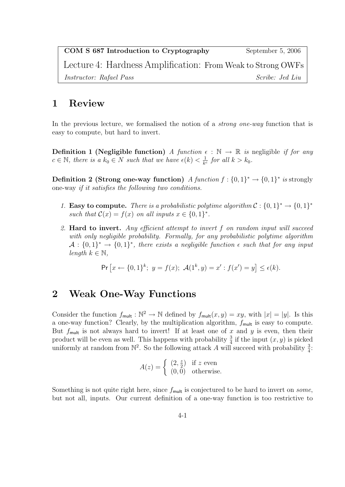| COM S 687 Introduction to Cryptography                      | September 5, 2006      |
|-------------------------------------------------------------|------------------------|
| Lecture 4: Hardness Amplification: From Weak to Strong OWFs |                        |
| <i>Instructor: Rafael Pass</i>                              | <i>Scribe: Jed Liu</i> |

## 1 Review

In the previous lecture, we formalised the notion of a *strong one-way* function that is easy to compute, but hard to invert.

**Definition 1 (Negligible function)** A function  $\epsilon : \mathbb{N} \to \mathbb{R}$  is negligible if for any  $c \in \mathbb{N}$ , there is a  $k_0 \in N$  such that we have  $\epsilon(k) < \frac{1}{k^d}$  $\frac{1}{k^c}$  for all  $k > k_0$ .

**Definition 2 (Strong one-way function)** A function  $f: \{0,1\}^* \to \{0,1\}^*$  is strongly one-way if it satisfies the following two conditions.

- 1. Easy to compute. There is a probabilistic polytime algorithm  $C: \{0,1\}^* \rightarrow \{0,1\}^*$ such that  $\mathcal{C}(x) = f(x)$  on all inputs  $x \in \{0,1\}^*$ .
- 2. Hard to invert. Any efficient attempt to invert f on random input will succeed with only negligible probability. Formally, for any probabilistic polytime algorithm  $\mathcal{A}: \{0,1\}^* \to \{0,1\}^*$ , there exists a negligible function  $\epsilon$  such that for any input length  $k \in \mathbb{N}$ ,

$$
\Pr\left[x \leftarrow \{0, 1\}^k; \ y = f(x); \ \mathcal{A}(1^k, y) = x' : f(x') = y\right] \le \epsilon(k).
$$

## 2 Weak One-Way Functions

Consider the function  $f_{\text{mult}} : \mathbb{N}^2 \to \mathbb{N}$  defined by  $f_{\text{mult}}(x, y) = xy$ , with  $|x| = |y|$ . Is this a one-way function? Clearly, by the multiplication algorithm,  $f_{\text{mult}}$  is easy to compute. But  $f_{\text{mult}}$  is not always hard to invert! If at least one of x and y is even, then their product will be even as well. This happens with probability  $\frac{3}{4}$  if the input  $(x, y)$  is picked product will be even as went. This happens with probability  $\frac{4}{4}$  if the liptu  $(x, y)$  is preached uniformly at random from  $\mathbb{N}^2$ . So the following attack A will succeed with probability  $\frac{3}{4}$ .

$$
A(z) = \begin{cases} (2, \frac{z}{2}) & \text{if } z \text{ even} \\ (0, 0) & \text{otherwise.} \end{cases}
$$

Something is not quite right here, since  $f_{\text{mult}}$  is conjectured to be hard to invert on some, but not all, inputs. Our current definition of a one-way function is too restrictive to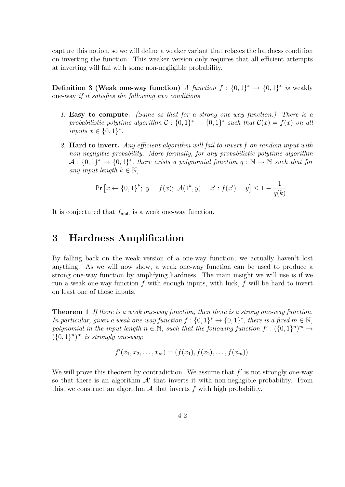capture this notion, so we will define a weaker variant that relaxes the hardness condition on inverting the function. This weaker version only requires that all efficient attempts at inverting will fail with some non-negligible probability.

**Definition 3 (Weak one-way function)** A function  $f: \{0,1\}^* \to \{0,1\}^*$  is weakly one-way if it satisfies the following two conditions.

- 1. Easy to compute. (Same as that for a strong one-way function.) There is a probabilistic polytime algorithm  $C: \{0,1\}^* \to \{0,1\}^*$  such that  $C(x) = f(x)$  on all inputs  $x \in \{0,1\}^*$ .
- 2. Hard to invert. Any efficient algorithm will fail to invert f on random input with non-negligible probability. More formally, for any probabilistic polytime algorithm  $\mathcal{A}: \{0,1\}^* \to \{0,1\}^*$ , there exists a polynomial function  $q: \mathbb{N} \to \mathbb{N}$  such that for any input length  $k \in \mathbb{N}$ ,

$$
\Pr\left[x \leftarrow \{0, 1\}^k; \ y = f(x); \ \mathcal{A}(1^k, y) = x' : f(x') = y\right] \le 1 - \frac{1}{q(k)}
$$

It is conjectured that  $f_{\text{mult}}$  is a weak one-way function.

## 3 Hardness Amplification

By falling back on the weak version of a one-way function, we actually haven't lost anything. As we will now show, a weak one-way function can be used to produce a strong one-way function by amplifying hardness. The main insight we will use is if we run a weak one-way function  $f$  with enough inputs, with luck,  $f$  will be hard to invert on least one of those inputs.

**Theorem 1** If there is a weak one-way function, then there is a strong one-way function. In particular, given a weak one-way function  $f: \{0,1\}^* \to \{0,1\}^*$ , there is a fixed  $m \in \mathbb{N}$ , polynomial in the input length  $n \in \mathbb{N}$ , such that the following function  $f' : (\{0,1\}^n)^m \to$  $({0,1}^n)^m$  is strongly one-way:

$$
f'(x_1, x_2, \ldots, x_m) = (f(x_1), f(x_2), \ldots, f(x_m)).
$$

We will prove this theorem by contradiction. We assume that  $f'$  is not strongly one-way so that there is an algorithm  $A'$  that inverts it with non-negligible probability. From this, we construct an algorithm  $A$  that inverts  $f$  with high probability.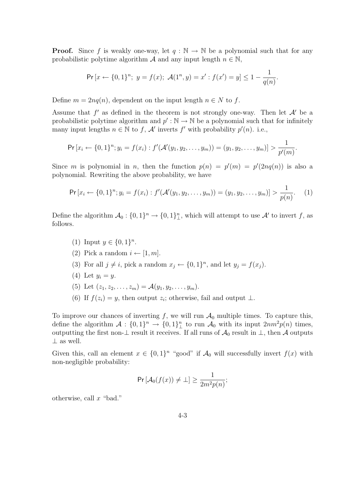**Proof.** Since f is weakly one-way, let  $q : \mathbb{N} \to \mathbb{N}$  be a polynomial such that for any probabilistic polytime algorithm A and any input length  $n \in \mathbb{N}$ ,

$$
\Pr\left[x \leftarrow \{0, 1\}^n; \ y = f(x); \ \mathcal{A}(1^n, y) = x': f(x') = y\right] \le 1 - \frac{1}{q(n)}.
$$

Define  $m = 2nq(n)$ , dependent on the input length  $n \in N$  to f.

Assume that  $f'$  as defined in the theorem is not strongly one-way. Then let  $A'$  be a probabilistic polytime algorithm and  $p': \mathbb{N} \to \mathbb{N}$  be a polynomial such that for infinitely many input lengths  $n \in \mathbb{N}$  to f, A' inverts f' with probability  $p'(n)$ . i.e.,

$$
\Pr[x_i \leftarrow \{0,1\}^n; y_i = f(x_i) : f'(\mathcal{A}'(y_1, y_2, \dots, y_m)) = (y_1, y_2, \dots, y_m)] > \frac{1}{p'(m)}.
$$

Since m is polynomial in n, then the function  $p(n) = p'(m) = p'(2nq(n))$  is also a polynomial. Rewriting the above probability, we have

$$
\Pr\left[x_i \leftarrow \{0,1\}^n; y_i = f(x_i) : f'(\mathcal{A}'(y_1, y_2, \dots, y_m)) = (y_1, y_2, \dots, y_m)\right] > \frac{1}{p(n)}.\tag{1}
$$

Define the algorithm  $\mathcal{A}_0: \{0,1\}^n \to \{0,1\}^n$ , which will attempt to use  $\mathcal{A}'$  to invert f, as follows.

- (1) Input  $y \in \{0,1\}^n$ .
- (2) Pick a random  $i \leftarrow [1, m]$ .
- (3) For all  $j \neq i$ , pick a random  $x_j \leftarrow \{0,1\}^n$ , and let  $y_j = f(x_j)$ .
- (4) Let  $y_i = y$ .
- (5) Let  $(z_1, z_2, \ldots, z_m) = \mathcal{A}(y_1, y_2, \ldots, y_m)$ .
- (6) If  $f(z_i) = y$ , then output  $z_i$ ; otherwise, fail and output  $\perp$ .

To improve our chances of inverting f, we will run  $\mathcal{A}_0$  multiple times. To capture this, define the algorithm  $\mathcal{A}: \{0,1\}^n \to \{0,1\}^n_{\perp}$  to run  $\mathcal{A}_0$  with its input  $2nm^2p(n)$  times, outputting the first non- $\perp$  result it receives. If all runs of  $\mathcal{A}_0$  result in  $\perp$ , then  $\mathcal A$  outputs ⊥ as well.

Given this, call an element  $x \in \{0,1\}^n$  "good" if  $\mathcal{A}_0$  will successfully invert  $f(x)$  with non-negligible probability:

$$
\Pr\left[\mathcal{A}_0(f(x)) \neq \bot\right] \ge \frac{1}{2m^2p(n)};
$$

otherwise, call  $x$  "bad."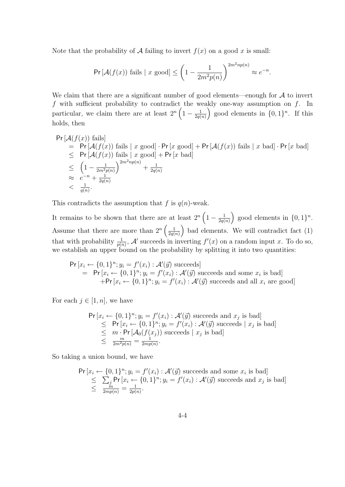Note that the probability of A failing to invert  $f(x)$  on a good x is small:

$$
\Pr\left[\mathcal{A}(f(x))\text{ fails} \mid x\text{ good}\right] \le \left(1 - \frac{1}{2m^2p(n)}\right)^{2m^2np(n)} \approx e^{-n}.
$$

We claim that there are a significant number of good elements—enough for  $A$  to invert  $f$  with sufficient probability to contradict the weakly one-way assumption on  $f$ . In particular, we claim there are at least  $2^{n} \left(1 - \frac{1}{2a}\right)$  $\frac{1}{2q(n)}$  good elements in  $\{0,1\}^n$ . If this holds, then

$$
Pr\left[\mathcal{A}(f(x))\text{ fails}\right] \\
= Pr\left[\mathcal{A}(f(x))\text{ fails}\mid x\text{ good}\right] \cdot Pr\left[x\text{ good}\right] + Pr\left[\mathcal{A}(f(x))\text{ fails}\mid x\text{ bad}\right] \cdot Pr\left[x\text{ bad}\right] \\
\leq Pr\left[\mathcal{A}(f(x))\text{ fails}\mid x\text{ good}\right] + Pr\left[x\text{ bad}\right] \\
\leq \left(1 - \frac{1}{2m^2p(n)}\right)^{2m^2np(n)} + \frac{1}{2q(n)} \\
\approx e^{-n} + \frac{1}{2q(n)} \\
< \frac{1}{q(n)}.
$$

This contradicts the assumption that  $f$  is  $q(n)$ -weak.

It remains to be shown that there are at least  $2^{n} \left(1 - \frac{1}{2a}\right)$  $\frac{1}{2q(n)}$  good elements in  $\{0,1\}^n$ . Assume that there are more than  $2^n \left( \frac{1}{2a} \right)$  $\frac{1}{2q(n)}$  bad elements. We will contradict fact (1) that with probability  $\frac{1}{p(n)}$ , A' succeeds in inverting  $f'(x)$  on a random input x. To do so, we establish an upper bound on the probability by splitting it into two quantities:

$$
\Pr[x_i \leftarrow \{0, 1\}^n; y_i = f'(x_i) : \mathcal{A}'(\vec{y}) \text{ succeeds} \\
= \Pr[x_i \leftarrow \{0, 1\}^n; y_i = f'(x_i) : \mathcal{A}'(\vec{y}) \text{ succeeds and some } x_i \text{ is bad} \\
+ \Pr[x_i \leftarrow \{0, 1\}^n; y_i = f'(x_i) : \mathcal{A}'(\vec{y}) \text{ succeeds and all } x_i \text{ are good}]\n\end{math}
$$

For each  $j \in [1, n]$ , we have

$$
\Pr[x_i \leftarrow \{0, 1\}^n; y_i = f'(x_i) : \mathcal{A}'(\vec{y}) \text{ succeeds and } x_j \text{ is bad}]
$$
  
\n
$$
\leq \Pr[x_i \leftarrow \{0, 1\}^n; y_i = f'(x_i) : \mathcal{A}'(\vec{y}) \text{ succeeds} \mid x_j \text{ is bad}]
$$
  
\n
$$
\leq m \cdot \Pr[\mathcal{A}_0(f(x_j)) \text{ succeeds} \mid x_j \text{ is bad}]
$$
  
\n
$$
\leq \frac{m}{2m^2p(n)} = \frac{1}{2mp(n)}.
$$

So taking a union bound, we have

$$
\Pr[x_i \leftarrow \{0, 1\}^n; y_i = f'(x_i) : \mathcal{A}'(\vec{y}) \text{ succeeds and some } x_i \text{ is bad}]
$$
  
\n
$$
\leq \sum_{j} \Pr[x_i \leftarrow \{0, 1\}^n; y_i = f'(x_i) : \mathcal{A}'(\vec{y}) \text{ succeeds and } x_j \text{ is bad}]
$$
  
\n
$$
\leq \frac{m}{2mp(n)} = \frac{1}{2p(n)}.
$$